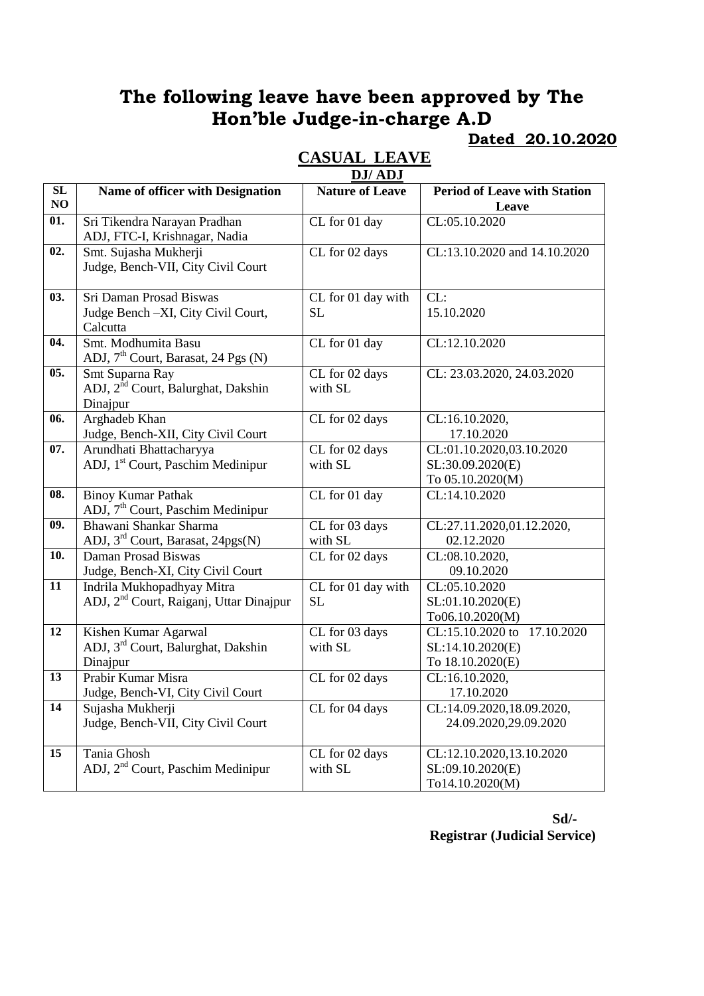### **Dated 20.10.2020**

|     | DJ/ADJ                                              |                        |                                                   |  |
|-----|-----------------------------------------------------|------------------------|---------------------------------------------------|--|
| SL  | Name of officer with Designation                    | <b>Nature of Leave</b> | <b>Period of Leave with Station</b>               |  |
| NO  |                                                     |                        | Leave                                             |  |
| 01. | Sri Tikendra Narayan Pradhan                        | CL for 01 day          | CL:05.10.2020                                     |  |
|     | ADJ, FTC-I, Krishnagar, Nadia                       |                        |                                                   |  |
| 02. | Smt. Sujasha Mukherji                               | CL for 02 days         | CL:13.10.2020 and 14.10.2020                      |  |
|     | Judge, Bench-VII, City Civil Court                  |                        |                                                   |  |
|     |                                                     |                        |                                                   |  |
| 03. | <b>Sri Daman Prosad Biswas</b>                      | CL for 01 day with     | CL:                                               |  |
|     | Judge Bench -XI, City Civil Court,                  | <b>SL</b>              | 15.10.2020                                        |  |
|     | Calcutta                                            |                        |                                                   |  |
| 04. | Smt. Modhumita Basu                                 | CL for 01 day          | CL:12.10.2020                                     |  |
|     | ADJ, 7 <sup>th</sup> Court, Barasat, 24 Pgs (N)     |                        |                                                   |  |
| 05. | Smt Suparna Ray                                     | CL for 02 days         | CL: 23.03.2020, 24.03.2020                        |  |
|     | ADJ, 2 <sup>nd</sup> Court, Balurghat, Dakshin      | with SL                |                                                   |  |
|     | Dinajpur                                            |                        |                                                   |  |
| 06. | Arghadeb Khan                                       | CL for 02 days         | CL:16.10.2020,                                    |  |
|     | Judge, Bench-XII, City Civil Court                  |                        | 17.10.2020                                        |  |
| 07. | Arundhati Bhattacharyya                             | CL for 02 days         | CL:01.10.2020,03.10.2020                          |  |
|     | ADJ, 1 <sup>st</sup> Court, Paschim Medinipur       | with SL                | SL:30.09.2020(E)                                  |  |
|     |                                                     |                        | To 05.10.2020(M)                                  |  |
| 08. | <b>Binoy Kumar Pathak</b>                           | CL for 01 day          | CL:14.10.2020                                     |  |
|     | ADJ, 7 <sup>th</sup> Court, Paschim Medinipur       |                        |                                                   |  |
| 09. | Bhawani Shankar Sharma                              | CL for 03 days         | CL:27.11.2020,01.12.2020,                         |  |
|     | ADJ, 3 <sup>rd</sup> Court, Barasat, 24pgs(N)       | with SL                | 02.12.2020                                        |  |
| 10. | Daman Prosad Biswas                                 | CL for 02 days         | CL:08.10.2020,                                    |  |
|     | Judge, Bench-XI, City Civil Court                   |                        | 09.10.2020                                        |  |
| 11  | Indrila Mukhopadhyay Mitra                          | CL for 01 day with     | CL:05.10.2020                                     |  |
|     | ADJ, 2 <sup>nd</sup> Court, Raiganj, Uttar Dinajpur | <b>SL</b>              | SL:01.10.2020(E)                                  |  |
| 12  | Kishen Kumar Agarwal                                | CL for 03 days         | To06.10.2020(M)<br>17.10.2020<br>CL:15.10.2020 to |  |
|     | ADJ, 3 <sup>rd</sup> Court, Balurghat, Dakshin      | with SL                | SL:14.10.2020(E)                                  |  |
|     | Dinajpur                                            |                        | To 18.10.2020(E)                                  |  |
| 13  | Prabir Kumar Misra                                  | CL for 02 days         | CL:16.10.2020,                                    |  |
|     | Judge, Bench-VI, City Civil Court                   |                        | 17.10.2020                                        |  |
| 14  | Sujasha Mukherji                                    | CL for 04 days         | CL:14.09.2020,18.09.2020,                         |  |
|     | Judge, Bench-VII, City Civil Court                  |                        | 24.09.2020,29.09.2020                             |  |
|     |                                                     |                        |                                                   |  |
| 15  | Tania Ghosh                                         | CL for 02 days         | CL:12.10.2020,13.10.2020                          |  |
|     | ADJ, 2 <sup>nd</sup> Court, Paschim Medinipur       | with SL                | SL:09.10.2020(E)                                  |  |
|     |                                                     |                        | To14.10.2020(M)                                   |  |

## **CASUAL LEAVE**

**Sd/- Registrar (Judicial Service)**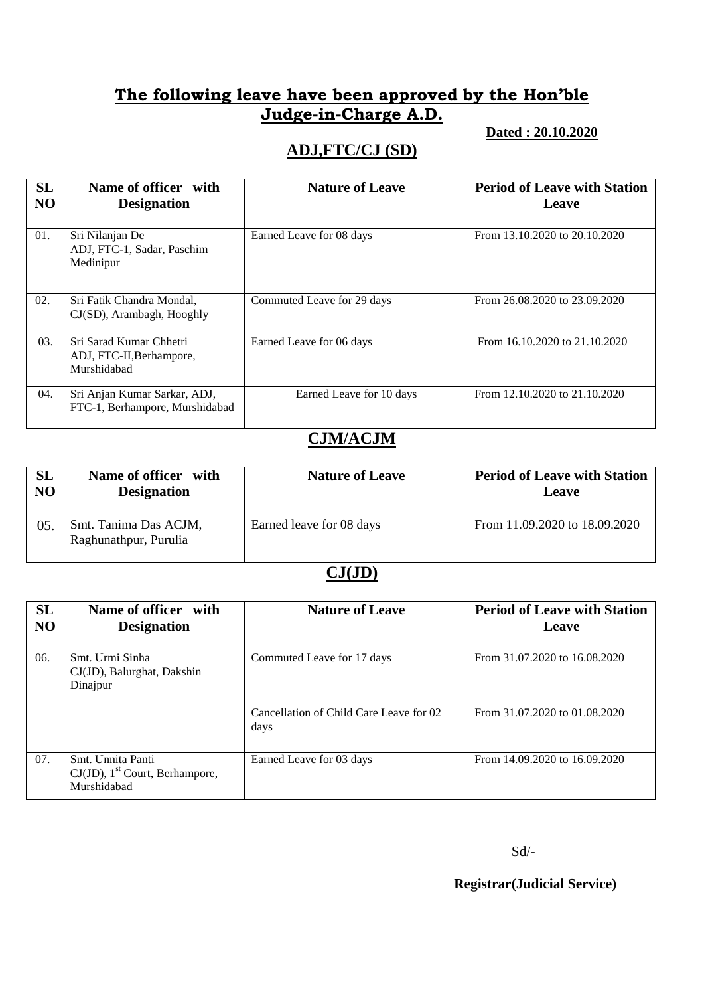#### **Dated : 20.10.2020**

### **ADJ,FTC/CJ (SD)**

| <b>SL</b><br>N <sub>O</sub> | Name of officer with<br><b>Designation</b>                         | <b>Nature of Leave</b>     | <b>Period of Leave with Station</b><br>Leave |
|-----------------------------|--------------------------------------------------------------------|----------------------------|----------------------------------------------|
| 01.                         | Sri Nilanjan De<br>ADJ, FTC-1, Sadar, Paschim<br>Medinipur         | Earned Leave for 08 days   | From 13.10.2020 to 20.10.2020                |
| 02.                         | Sri Fatik Chandra Mondal,<br>CJ(SD), Arambagh, Hooghly             | Commuted Leave for 29 days | From 26.08.2020 to 23.09.2020                |
| 03.                         | Sri Sarad Kumar Chhetri<br>ADJ, FTC-II, Berhampore,<br>Murshidabad | Earned Leave for 06 days   | From 16.10.2020 to 21.10.2020                |
| 04.                         | Sri Anjan Kumar Sarkar, ADJ,<br>FTC-1, Berhampore, Murshidabad     | Earned Leave for 10 days   | From 12.10.2020 to 21.10.2020                |

### **CJM/ACJM**

| SL             | Name of officer with                           | <b>Nature of Leave</b>   | <b>Period of Leave with Station</b> |
|----------------|------------------------------------------------|--------------------------|-------------------------------------|
| N <sub>O</sub> | <b>Designation</b>                             |                          | Leave                               |
| 05.            | Smt. Tanima Das ACJM,<br>Raghunathpur, Purulia | Earned leave for 08 days | From 11.09.2020 to 18.09.2020       |

#### **CJ(JD)**

| <b>SL</b><br>N <sub>O</sub> | Name of officer with<br><b>Designation</b>                                        | <b>Nature of Leave</b>                          | <b>Period of Leave with Station</b><br>Leave |
|-----------------------------|-----------------------------------------------------------------------------------|-------------------------------------------------|----------------------------------------------|
| 06.                         | Smt. Urmi Sinha<br>CJ(JD), Balurghat, Dakshin<br>Dinajpur                         | Commuted Leave for 17 days                      | From 31.07.2020 to 16.08.2020                |
|                             |                                                                                   | Cancellation of Child Care Leave for 02<br>days | From 31.07.2020 to 01.08.2020                |
| 07.                         | Smt. Unnita Panti<br>$CJ(JD)$ , 1 <sup>st</sup> Court, Berhampore,<br>Murshidabad | Earned Leave for 03 days                        | From 14.09.2020 to 16.09.2020                |

Sd/-

**Registrar(Judicial Service)**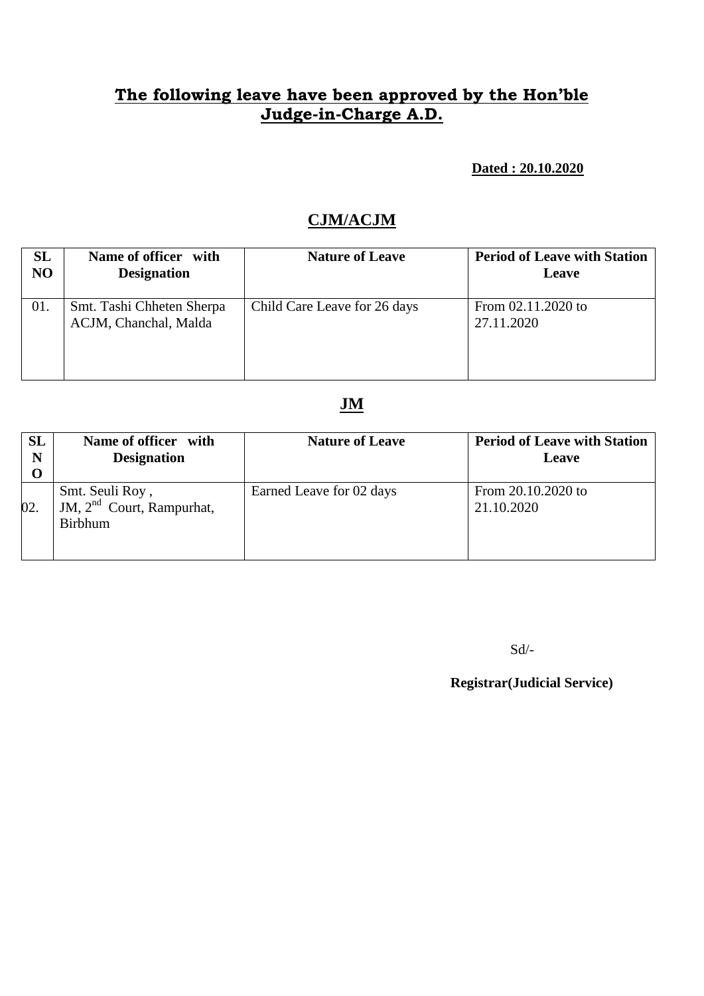**Dated : 20.10.2020**

### **CJM/ACJM**

| SL             | Name of officer with                               | <b>Nature of Leave</b>       | <b>Period of Leave with Station</b> |
|----------------|----------------------------------------------------|------------------------------|-------------------------------------|
| N <sub>O</sub> | <b>Designation</b>                                 |                              | Leave                               |
| 01.            | Smt. Tashi Chheten Sherpa<br>ACJM, Chanchal, Malda | Child Care Leave for 26 days | From 02.11.2020 to<br>27.11.2020    |

### **JM**

| <b>SL</b><br>N<br>$\bf{O}$ | Name of officer with<br><b>Designation</b>                       | <b>Nature of Leave</b>   | <b>Period of Leave with Station</b><br>Leave |
|----------------------------|------------------------------------------------------------------|--------------------------|----------------------------------------------|
| 02.                        | Smt. Seuli Roy,<br>JM, $2nd$ Court, Rampurhat,<br><b>Birbhum</b> | Earned Leave for 02 days | From 20.10.2020 to<br>21.10.2020             |

Sd/-

**Registrar(Judicial Service)**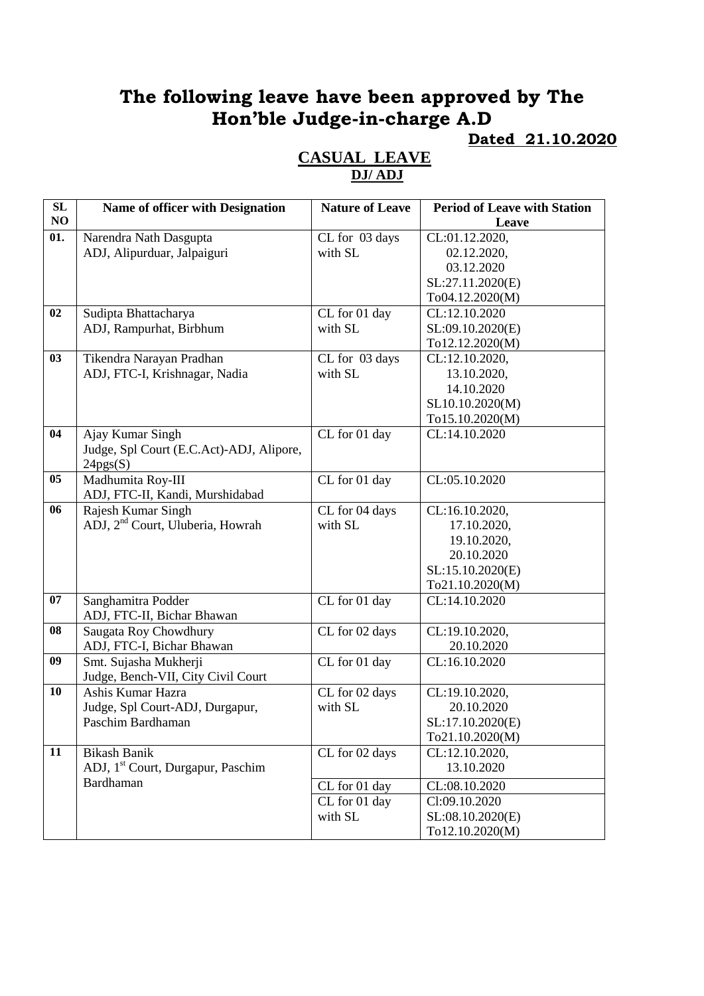### **Dated 21.10.2020**

| SL  | Name of officer with Designation              | <b>Nature of Leave</b> | <b>Period of Leave with Station</b> |
|-----|-----------------------------------------------|------------------------|-------------------------------------|
| NO  |                                               |                        | Leave                               |
| 01. | Narendra Nath Dasgupta                        | CL for 03 days         | CL:01.12.2020,                      |
|     | ADJ, Alipurduar, Jalpaiguri                   | with SL                | 02.12.2020,                         |
|     |                                               |                        | 03.12.2020                          |
|     |                                               |                        | SL:27.11.2020(E)                    |
|     |                                               |                        | To04.12.2020(M)                     |
| 02  | Sudipta Bhattacharya                          | CL for 01 day          | CL:12.10.2020                       |
|     | ADJ, Rampurhat, Birbhum                       | with SL                | SL:09.10.2020(E)                    |
|     |                                               |                        | To12.12.2020(M)                     |
| 03  | Tikendra Narayan Pradhan                      | CL for 03 days         | CL:12.10.2020,                      |
|     | ADJ, FTC-I, Krishnagar, Nadia                 | with SL                | 13.10.2020,                         |
|     |                                               |                        | 14.10.2020                          |
|     |                                               |                        | SL10.10.2020(M)                     |
|     |                                               |                        | To15.10.2020(M)                     |
| 04  | Ajay Kumar Singh                              | CL for 01 day          | CL:14.10.2020                       |
|     | Judge, Spl Court (E.C.Act)-ADJ, Alipore,      |                        |                                     |
|     | 24pgs(S)                                      |                        |                                     |
| 05  | Madhumita Roy-III                             | CL for 01 day          | CL:05.10.2020                       |
|     | ADJ, FTC-II, Kandi, Murshidabad               |                        |                                     |
| 06  | Rajesh Kumar Singh                            | CL for 04 days         | CL:16.10.2020,                      |
|     | ADJ, 2 <sup>nd</sup> Court, Uluberia, Howrah  | with SL                | 17.10.2020,                         |
|     |                                               |                        | 19.10.2020,                         |
|     |                                               |                        | 20.10.2020                          |
|     |                                               |                        | SL:15.10.2020(E)                    |
|     |                                               |                        | To21.10.2020(M)                     |
| 07  | Sanghamitra Podder                            | CL for 01 day          | CL:14.10.2020                       |
|     | ADJ, FTC-II, Bichar Bhawan                    |                        |                                     |
| 08  | Saugata Roy Chowdhury                         | CL for 02 days         | CL:19.10.2020,                      |
|     | ADJ, FTC-I, Bichar Bhawan                     |                        | 20.10.2020                          |
| 09  | Smt. Sujasha Mukherji                         | CL for 01 day          | CL:16.10.2020                       |
|     | Judge, Bench-VII, City Civil Court            |                        |                                     |
| 10  | Ashis Kumar Hazra                             | CL for 02 days         | CL:19.10.2020,                      |
|     | Judge, Spl Court-ADJ, Durgapur,               | with SL                | 20.10.2020                          |
|     | Paschim Bardhaman                             |                        | SL:17.10.2020(E)                    |
|     |                                               |                        | To21.10.2020(M)                     |
| 11  | <b>Bikash Banik</b>                           | CL for 02 days         | CL:12.10.2020,                      |
|     | ADJ, 1 <sup>st</sup> Court, Durgapur, Paschim |                        | 13.10.2020                          |
|     | Bardhaman                                     | CL for 01 day          | CL:08.10.2020                       |
|     |                                               |                        |                                     |
|     |                                               | CL for 01 day          | Cl:09.10.2020                       |
|     |                                               | with SL                | SL:08.10.2020(E)                    |
|     |                                               |                        | To12.10.2020(M)                     |

#### **CASUAL LEAVE DJ/ ADJ**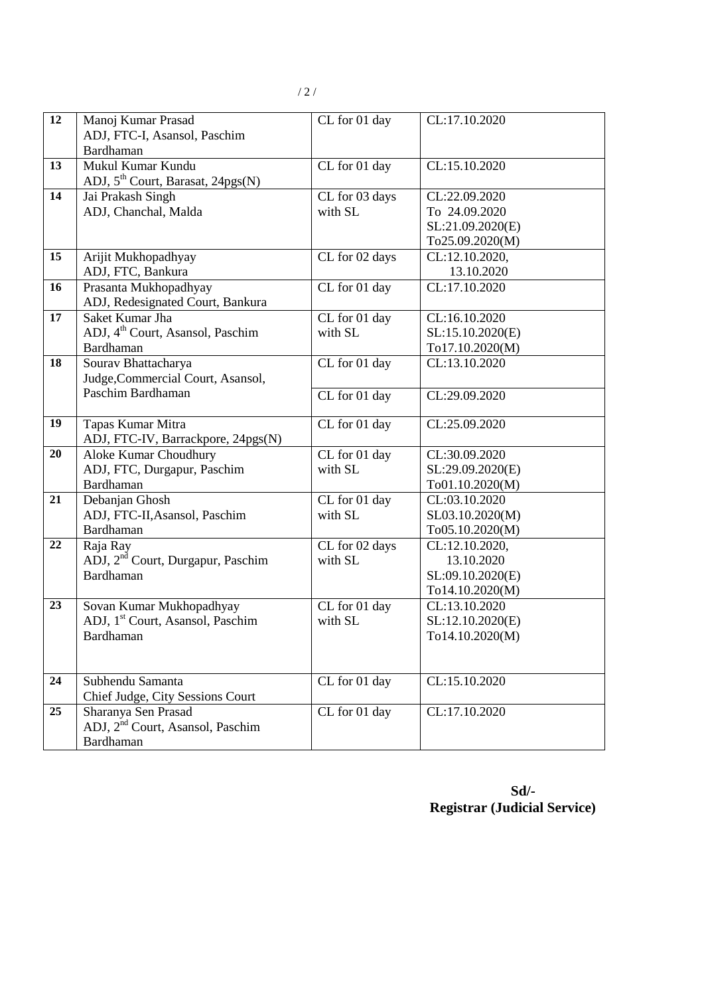| 12 | Manoj Kumar Prasad                              | $\overline{\text{CL}}$ for 01 day | CL:17.10.2020                     |
|----|-------------------------------------------------|-----------------------------------|-----------------------------------|
|    | ADJ, FTC-I, Asansol, Paschim                    |                                   |                                   |
|    | Bardhaman                                       |                                   |                                   |
| 13 | Mukul Kumar Kundu                               | CL for 01 day                     | CL:15.10.2020                     |
|    | ADJ, 5 <sup>th</sup> Court, Barasat, 24pgs(N)   |                                   |                                   |
| 14 | Jai Prakash Singh                               | CL for 03 days                    | CL:22.09.2020                     |
|    | ADJ, Chanchal, Malda                            | with SL                           | To 24.09.2020                     |
|    |                                                 |                                   | SL:21.09.2020(E)                  |
|    |                                                 |                                   | To25.09.2020(M)                   |
| 15 | Arijit Mukhopadhyay                             | CL for 02 days                    | CL:12.10.2020,                    |
|    | ADJ, FTC, Bankura                               |                                   | 13.10.2020                        |
| 16 | Prasanta Mukhopadhyay                           | CL for 01 day                     | CL:17.10.2020                     |
|    | ADJ, Redesignated Court, Bankura                |                                   |                                   |
| 17 | Saket Kumar Jha                                 | CL for 01 day                     | CL:16.10.2020                     |
|    | ADJ, 4 <sup>th</sup> Court, Asansol, Paschim    | with SL                           | SL:15.10.2020(E)                  |
|    | Bardhaman                                       |                                   | To17.10.2020(M)                   |
| 18 | Sourav Bhattacharya                             | CL for 01 day                     | CL:13.10.2020                     |
|    | Judge, Commercial Court, Asansol,               |                                   |                                   |
|    | Paschim Bardhaman                               | CL for 01 day                     | CL:29.09.2020                     |
|    |                                                 |                                   |                                   |
| 19 | Tapas Kumar Mitra                               | CL for 01 day                     | CL:25.09.2020                     |
|    | ADJ, FTC-IV, Barrackpore, 24pgs(N)              |                                   |                                   |
| 20 | <b>Aloke Kumar Choudhury</b>                    | CL for 01 day                     | CL:30.09.2020                     |
|    | ADJ, FTC, Durgapur, Paschim<br>Bardhaman        | with SL                           | SL:29.09.2020(E)                  |
| 21 |                                                 |                                   | To01.10.2020(M)<br>CL:03.10.2020  |
|    | Debanjan Ghosh<br>ADJ, FTC-II, Asansol, Paschim | CL for 01 day<br>with SL          |                                   |
|    | <b>Bardhaman</b>                                |                                   | SL03.10.2020(M)                   |
| 22 | Raja Ray                                        | CL for 02 days                    | To05.10.2020(M)<br>CL:12.10.2020, |
|    | ADJ, 2 <sup>nd</sup> Court, Durgapur, Paschim   | with SL                           | 13.10.2020                        |
|    | Bardhaman                                       |                                   | SL:09.10.2020(E)                  |
|    |                                                 |                                   | To14.10.2020(M)                   |
| 23 | Sovan Kumar Mukhopadhyay                        | CL for 01 day                     | CL:13.10.2020                     |
|    | ADJ, 1 <sup>st</sup> Court, Asansol, Paschim    | with SL                           | SL:12.10.2020(E)                  |
|    | Bardhaman                                       |                                   | To14.10.2020(M)                   |
|    |                                                 |                                   |                                   |
|    |                                                 |                                   |                                   |
| 24 | Subhendu Samanta                                | CL for 01 day                     | CL:15.10.2020                     |
|    | Chief Judge, City Sessions Court                |                                   |                                   |
| 25 | Sharanya Sen Prasad                             | CL for 01 day                     | CL:17.10.2020                     |
|    | ADJ, 2 <sup>nd</sup> Court, Asansol, Paschim    |                                   |                                   |
|    | Bardhaman                                       |                                   |                                   |
|    |                                                 |                                   |                                   |

**Sd/- Registrar (Judicial Service)**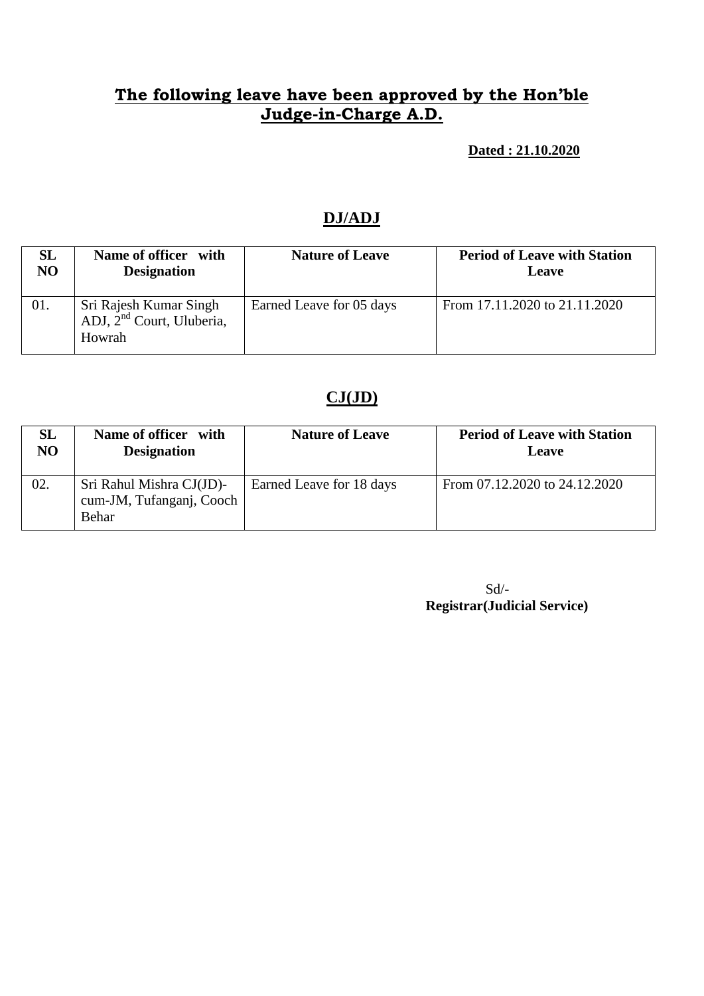**Dated : 21.10.2020**

### **DJ/ADJ**

| SL             | Name of officer with                                                      | <b>Nature of Leave</b>   | <b>Period of Leave with Station</b> |
|----------------|---------------------------------------------------------------------------|--------------------------|-------------------------------------|
| N <sub>O</sub> | <b>Designation</b>                                                        |                          | Leave                               |
| 01.            | Sri Rajesh Kumar Singh<br>ADJ, 2 <sup>nd</sup> Court, Uluberia,<br>Howrah | Earned Leave for 05 days | From 17.11.2020 to 21.11.2020       |

## **CJ(JD)**

| <b>SL</b>      | Name of officer with                                          | <b>Nature of Leave</b>   | <b>Period of Leave with Station</b> |
|----------------|---------------------------------------------------------------|--------------------------|-------------------------------------|
| N <sub>O</sub> | <b>Designation</b>                                            |                          | <b>Leave</b>                        |
| 02.            | Sri Rahul Mishra CJ(JD)-<br>cum-JM, Tufanganj, Cooch<br>Behar | Earned Leave for 18 days | From 07.12.2020 to 24.12.2020       |

 Sd/- **Registrar(Judicial Service)**